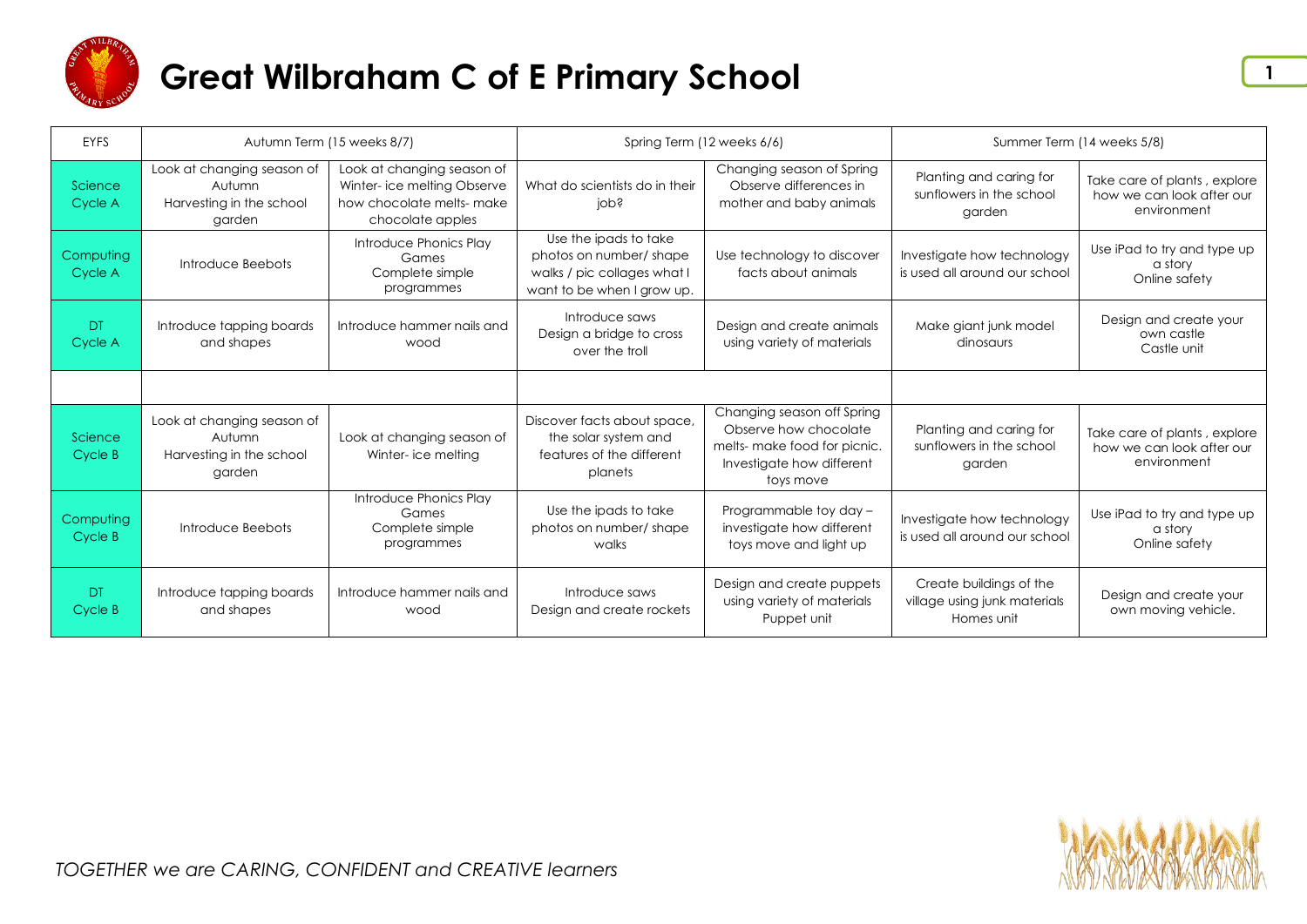

| EYFS                 |                                                                            | Autumn Term (15 weeks 8/7)                                                                                 | Spring Term (12 weeks 6/6)                                                                                   |                                                                                                                               | Summer Term (14 weeks 5/8)                                            |                                                                          |
|----------------------|----------------------------------------------------------------------------|------------------------------------------------------------------------------------------------------------|--------------------------------------------------------------------------------------------------------------|-------------------------------------------------------------------------------------------------------------------------------|-----------------------------------------------------------------------|--------------------------------------------------------------------------|
| Science<br>Cycle A   | Look at changing season of<br>Autumn<br>Harvesting in the school<br>garden | Look at changing season of<br>Winter- ice melting Observe<br>how chocolate melts- make<br>chocolate apples | What do scientists do in their<br>iops                                                                       | Changing season of Spring<br>Observe differences in<br>mother and baby animals                                                | Planting and caring for<br>sunflowers in the school<br>garden         | Take care of plants, explore<br>how we can look after our<br>environment |
| Computing<br>Cycle A | Introduce Beebots                                                          | Introduce Phonics Play<br>Games<br>Complete simple<br>programmes                                           | Use the ipads to take<br>photos on number/shape<br>walks / pic collages what I<br>want to be when I grow up. | Use technology to discover<br>facts about animals                                                                             | Investigate how technology<br>is used all around our school           | Use iPad to try and type up<br>a story<br>Online safety                  |
| DT.<br>Cycle A       | Introduce tapping boards<br>and shapes                                     | Introduce hammer nails and<br>wood                                                                         | Introduce saws<br>Design a bridge to cross<br>over the troll                                                 | Design and create animals<br>using variety of materials                                                                       | Make giant junk model<br>dinosaurs                                    | Design and create your<br>own castle<br>Castle unit                      |
|                      |                                                                            |                                                                                                            |                                                                                                              |                                                                                                                               |                                                                       |                                                                          |
| Science<br>Cycle B   | Look at changing season of<br>Autumn<br>Harvesting in the school<br>garden | Look at changing season of<br>Winter- ice melting                                                          | Discover facts about space,<br>the solar system and<br>features of the different<br>planets                  | Changing season off Spring<br>Observe how chocolate<br>melts- make food for picnic.<br>Investigate how different<br>toys move | Planting and caring for<br>sunflowers in the school<br>garden         | Take care of plants, explore<br>how we can look after our<br>environment |
| Computing<br>Cycle B | Introduce Beebots                                                          | Introduce Phonics Play<br>Games<br>Complete simple<br>programmes                                           | Use the ipads to take<br>photos on number/shape<br>walks                                                     | Programmable toy day -<br>investigate how different<br>toys move and light up                                                 | Investigate how technology<br>is used all around our school           | Use iPad to try and type up<br>a story<br>Online safety                  |
| <b>DT</b><br>Cycle B | Introduce tapping boards<br>and shapes                                     | Introduce hammer nails and<br>wood                                                                         | Introduce saws<br>Design and create rockets                                                                  | Design and create puppets<br>using variety of materials<br>Puppet unit                                                        | Create buildings of the<br>village using junk materials<br>Homes unit | Design and create your<br>own moving vehicle.                            |

**1**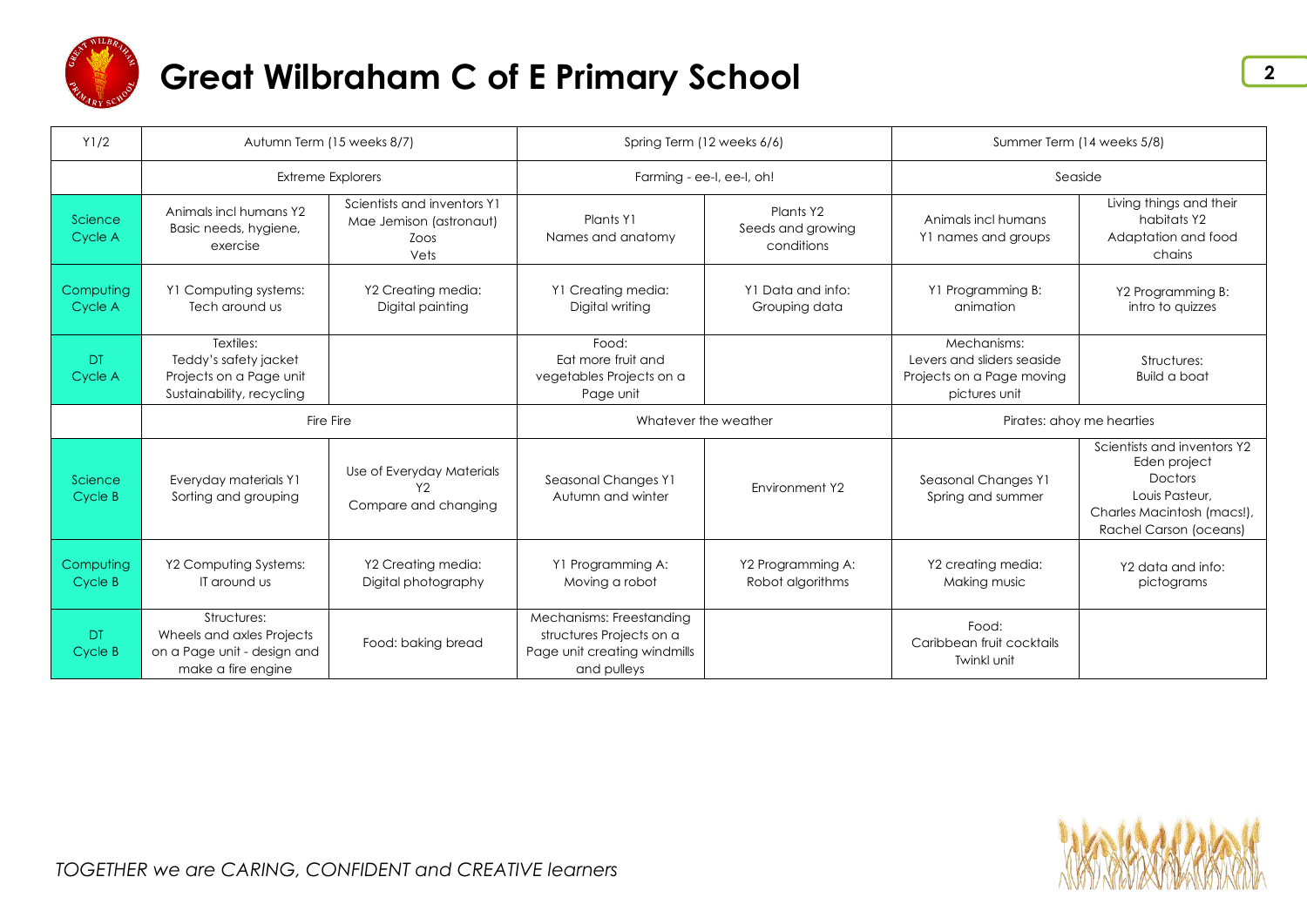

| Y1/2                 | Autumn Term (15 weeks 8/7)<br>Spring Term (12 weeks 6/6)                                      |                                                                        | Summer Term (14 weeks 5/8)                                                                          |                                              |                                                                                         |                                                                                                                                  |
|----------------------|-----------------------------------------------------------------------------------------------|------------------------------------------------------------------------|-----------------------------------------------------------------------------------------------------|----------------------------------------------|-----------------------------------------------------------------------------------------|----------------------------------------------------------------------------------------------------------------------------------|
|                      | <b>Extreme Explorers</b>                                                                      |                                                                        | Farming - ee-I, ee-I, oh!                                                                           |                                              | Seaside                                                                                 |                                                                                                                                  |
| Science<br>Cycle A   | Animals incl humans Y2<br>Basic needs, hygiene,<br>exercise                                   | Scientists and inventors Y1<br>Mae Jemison (astronaut)<br>ZOOS<br>Vets | Plants Y1<br>Names and anatomy                                                                      | Plants Y2<br>Seeds and growing<br>conditions | Animals incl humans<br>Y1 names and groups                                              | Living things and their<br>habitats Y2<br>Adaptation and food<br>chains                                                          |
| Computing<br>Cycle A | Y1 Computing systems:<br>Tech around us                                                       | Y2 Creating media:<br>Digital painting                                 | Y1 Creating media:<br>Digital writing                                                               | Y1 Data and info:<br>Grouping data           | Y1 Programming B:<br>animation                                                          | Y2 Programming B:<br>intro to quizzes                                                                                            |
| DT<br>Cycle A        | Textiles:<br>Teddy's safety jacket<br>Projects on a Page unit<br>Sustainability, recycling    |                                                                        | Food:<br>Eat more fruit and<br>vegetables Projects on a<br>Page unit                                |                                              | Mechanisms:<br>Levers and sliders seaside<br>Projects on a Page moving<br>pictures unit | Structures:<br><b>Build a boat</b>                                                                                               |
|                      | Fire Fire                                                                                     |                                                                        | Whatever the weather                                                                                |                                              | Pirates: ahoy me hearties                                                               |                                                                                                                                  |
| Science<br>Cycle B   | Everyday materials Y1<br>Sorting and grouping                                                 | Use of Everyday Materials<br>Y <sub>2</sub><br>Compare and changing    | Seasonal Changes Y1<br>Autumn and winter                                                            | Environment Y2                               | Seasonal Changes Y1<br>Spring and summer                                                | Scientists and inventors Y2<br>Eden project<br>Doctors<br>Louis Pasteur.<br>Charles Macintosh (macs!),<br>Rachel Carson (oceans) |
| Computing<br>Cycle B | Y2 Computing Systems:<br>IT around us                                                         | Y2 Creating media:<br>Digital photography                              | Y1 Programming A:<br>Moving a robot                                                                 | Y2 Programming A:<br>Robot algorithms        | Y2 creating media:<br>Making music                                                      | Y2 data and info:<br>pictograms                                                                                                  |
| DT.<br>Cycle B       | Structures:<br>Wheels and axles Projects<br>on a Page unit - design and<br>make a fire engine | Food: baking bread                                                     | Mechanisms: Freestanding<br>structures Projects on a<br>Page unit creating windmills<br>and pulleys |                                              | Food:<br>Caribbean fruit cocktails<br>Twinkl unit                                       |                                                                                                                                  |

**2**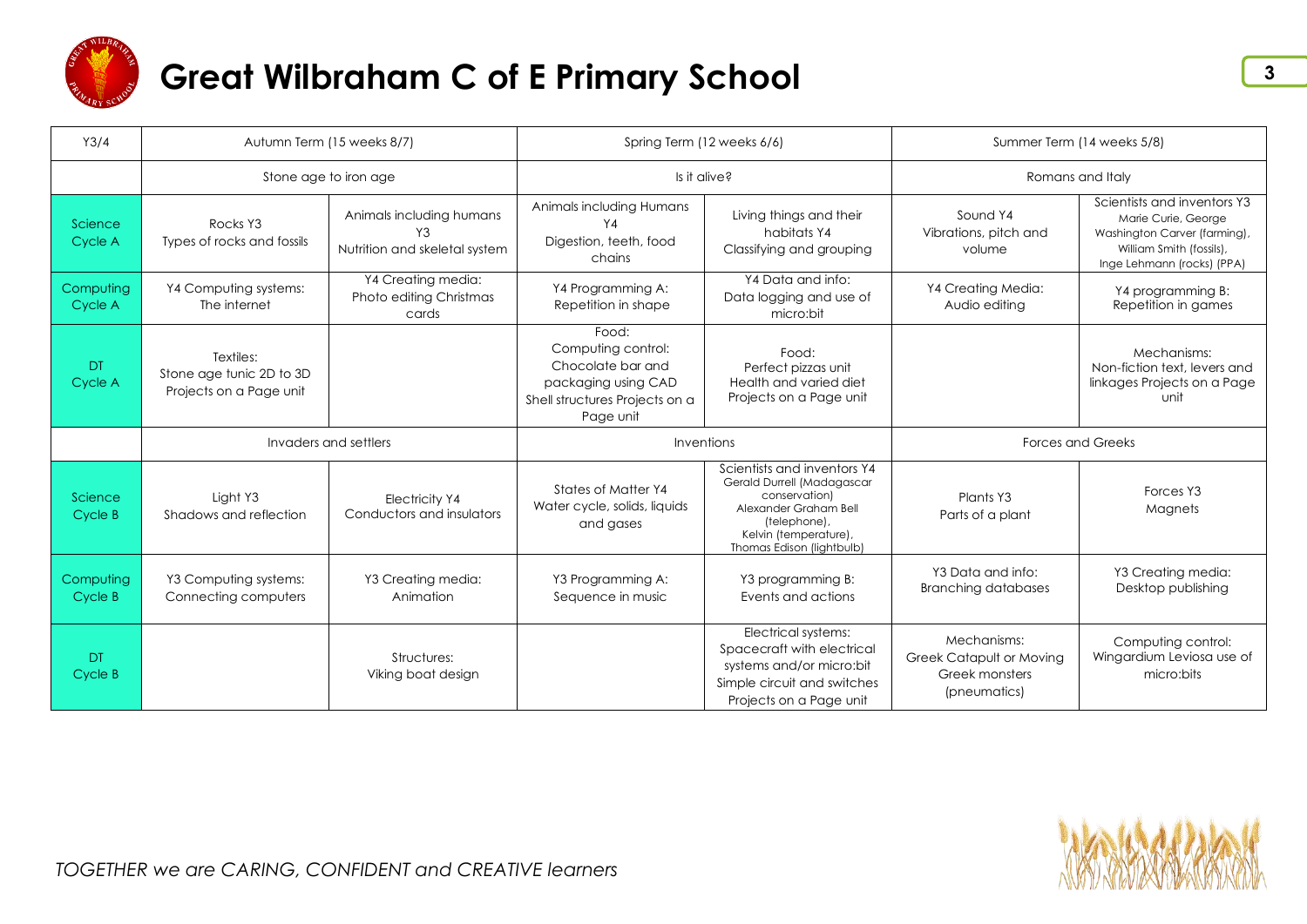

| Y3/4                 | Autumn Term (15 weeks 8/7)                                       |                                                                 | Spring Term (12 weeks 6/6)                                                                                             |                                                                                                                                                                           | Summer Term (14 weeks 5/8)                                                       |                                                                                                                                              |
|----------------------|------------------------------------------------------------------|-----------------------------------------------------------------|------------------------------------------------------------------------------------------------------------------------|---------------------------------------------------------------------------------------------------------------------------------------------------------------------------|----------------------------------------------------------------------------------|----------------------------------------------------------------------------------------------------------------------------------------------|
|                      | Stone age to iron age                                            |                                                                 | Is it alive?                                                                                                           |                                                                                                                                                                           | Romans and Italy                                                                 |                                                                                                                                              |
| Science<br>Cycle A   | Rocks Y3<br>Types of rocks and fossils                           | Animals including humans<br>Y3<br>Nutrition and skeletal system | Animals including Humans<br>Y4<br>Digestion, teeth, food<br>chains                                                     | Living things and their<br>habitats Y4<br>Classifying and grouping                                                                                                        | Sound Y4<br>Vibrations, pitch and<br>volume                                      | Scientists and inventors Y3<br>Marie Curie, George<br>Washington Carver (farming),<br>William Smith (fossils),<br>Inge Lehmann (rocks) (PPA) |
| Computing<br>Cycle A | Y4 Computing systems:<br>The internet                            | Y4 Creating media:<br>Photo editing Christmas<br>cards          | Y4 Programming A:<br>Repetition in shape                                                                               | Y4 Data and info:<br>Data logging and use of<br>micro:bit                                                                                                                 | Y4 Creating Media:<br>Audio editing                                              | Y4 programming B:<br>Repetition in games                                                                                                     |
| <b>DT</b><br>Cycle A | Textiles:<br>Stone age tunic 2D to 3D<br>Projects on a Page unit |                                                                 | Food:<br>Computing control:<br>Chocolate bar and<br>packaging using CAD<br>Shell structures Projects on a<br>Page unit | Food:<br>Perfect pizzas unit<br>Health and varied diet<br>Projects on a Page unit                                                                                         |                                                                                  | Mechanisms:<br>Non-fiction text, levers and<br>linkages Projects on a Page<br>unit                                                           |
|                      | Invaders and settlers                                            |                                                                 | Inventions                                                                                                             |                                                                                                                                                                           | <b>Forces and Greeks</b>                                                         |                                                                                                                                              |
| Science<br>Cycle B   | Light Y3<br>Shadows and reflection                               | <b>Electricity Y4</b><br>Conductors and insulators              | States of Matter Y4<br>Water cycle, solids, liquids<br>and gases                                                       | Scientists and inventors Y4<br>Gerald Durrell (Madagascar<br>conservation)<br>Alexander Graham Bell<br>(telephone),<br>Kelvin (temperature),<br>Thomas Edison (lightbulb) | Plants Y3<br>Parts of a plant                                                    | Forces Y3<br>Magnets                                                                                                                         |
| Computing<br>Cycle B | Y3 Computing systems:<br>Connecting computers                    | Y3 Creating media:<br>Animation                                 | Y3 Programming A:<br>Sequence in music                                                                                 | Y3 programming B:<br>Events and actions                                                                                                                                   | Y3 Data and info:<br><b>Branching databases</b>                                  | Y3 Creating media:<br>Desktop publishing                                                                                                     |
| DT.<br>Cycle B       |                                                                  | Structures:<br>Viking boat design                               |                                                                                                                        | Electrical systems:<br>Spacecraft with electrical<br>systems and/or micro:bit<br>Simple circuit and switches<br>Projects on a Page unit                                   | Mechanisms:<br><b>Greek Catapult or Moving</b><br>Greek monsters<br>(pneumatics) | Computing control:<br>Wingardium Leviosa use of<br>micro:bits                                                                                |